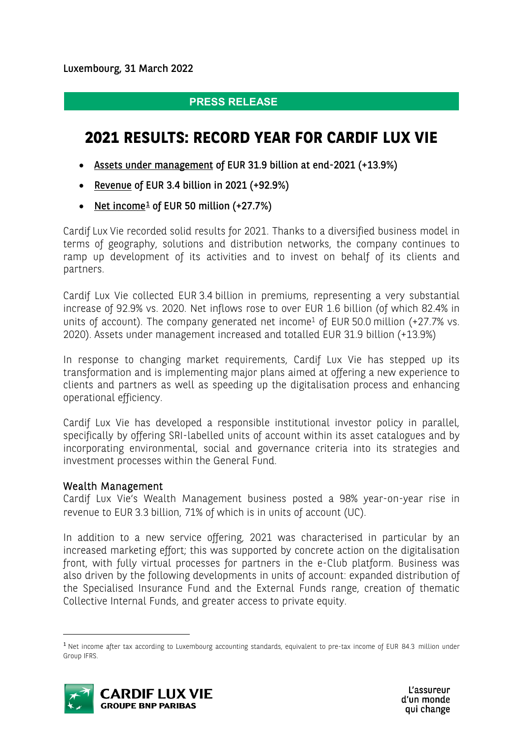### **PRESS RELEASE**

# **2021 RESULTS: RECORD YEAR FOR CARDIF LUX VIE**

- Assets under management of EUR 31.9 billion at end-2021 (+13.9%)
- Revenue of EUR 3.4 billion in 2021 (+92.9%)
- Net income $\frac{1}{2}$  $\frac{1}{2}$  $\frac{1}{2}$  of EUR 50 million (+27.7%)

Cardif Lux Vie recorded solid results for 2021. Thanks to a diversified business model in terms of geography, solutions and distribution networks, the company continues to ramp up development of its activities and to invest on behalf of its clients and partners.

Cardif Lux Vie collected EUR 3.4 billion in premiums, representing a very substantial increase of 92.9% vs. 2020. Net inflows rose to over EUR 1.6 billion (of which 82.4% in units of account). The company generated net income<sup>1</sup> of EUR 50.0 million  $(+27.7\% \text{ vs.})$ 2020). Assets under management increased and totalled EUR 31.9 billion (+13.9%)

In response to changing market requirements, Cardif Lux Vie has stepped up its transformation and is implementing major plans aimed at offering a new experience to clients and partners as well as speeding up the digitalisation process and enhancing operational efficiency.

Cardif Lux Vie has developed a responsible institutional investor policy in parallel, specifically by offering SRI-labelled units of account within its asset catalogues and by incorporating environmental, social and governance criteria into its strategies and investment processes within the General Fund.

#### Wealth Management

Cardif Lux Vie's Wealth Management business posted a 98% year-on-year rise in revenue to EUR 3.3 billion, 71% of which is in units of account (UC).

In addition to a new service offering, 2021 was characterised in particular by an increased marketing effort; this was supported by concrete action on the digitalisation front, with fully virtual processes for partners in the e-Club platform. Business was also driven by the following developments in units of account: expanded distribution of the Specialised Insurance Fund and the External Funds range, creation of thematic Collective Internal Funds, and greater access to private equity.

<span id="page-0-0"></span> $1$  Net income after tax according to Luxembourg accounting standards, equivalent to pre-tax income of EUR 84.3 million under Group IFRS.

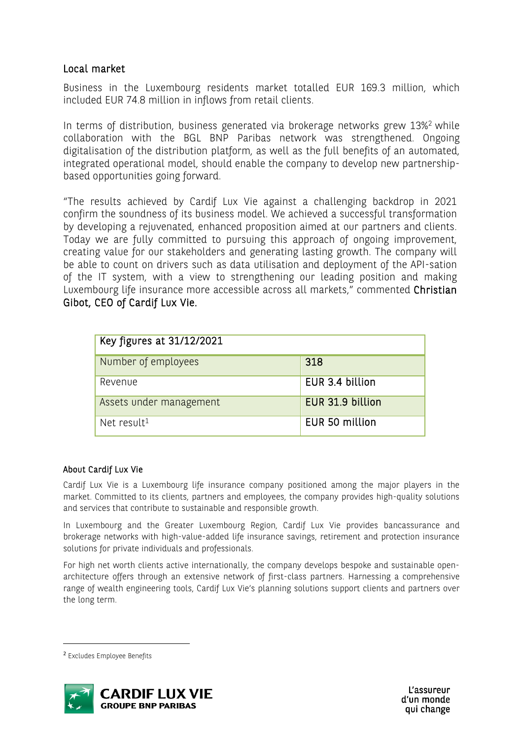#### Local market

Business in the Luxembourg residents market totalled EUR 169.3 million, which included EUR 74.8 million in inflows from retail clients.

In terms of distribution, business generated via brokerage networks grew 13%[2](#page-1-0) while collaboration with the BGL BNP Paribas network was strengthened. Ongoing digitalisation of the distribution platform, as well as the full benefits of an automated, integrated operational model, should enable the company to develop new partnershipbased opportunities going forward.

"The results achieved by Cardif Lux Vie against a challenging backdrop in 2021 confirm the soundness of its business model. We achieved a successful transformation by developing a rejuvenated, enhanced proposition aimed at our partners and clients. Today we are fully committed to pursuing this approach of ongoing improvement, creating value for our stakeholders and generating lasting growth. The company will be able to count on drivers such as data utilisation and deployment of the API-sation of the IT system, with a view to strengthening our leading position and making Luxembourg life insurance more accessible across all markets," commented Christian Gibot, CEO of Cardif Lux Vie.

| Key figures at 31/12/2021 |                  |
|---------------------------|------------------|
| Number of employees       | 318              |
| Revenue                   | EUR 3.4 billion  |
| Assets under management   | EUR 31.9 billion |
| Net result <sup>1</sup>   | EUR 50 million   |

#### About Cardif Lux Vie

Cardif Lux Vie is a Luxembourg life insurance company positioned among the major players in the market. Committed to its clients, partners and employees, the company provides high-quality solutions and services that contribute to sustainable and responsible growth.

In Luxembourg and the Greater Luxembourg Region, Cardif Lux Vie provides bancassurance and brokerage networks with high-value-added life insurance savings, retirement and protection insurance solutions for private individuals and professionals.

For high net worth clients active internationally, the company develops bespoke and sustainable openarchitecture offers through an extensive network of first-class partners. Harnessing a comprehensive range of wealth engineering tools, Cardif Lux Vie's planning solutions support clients and partners over the long term.

<span id="page-1-0"></span> <sup>2</sup> Excludes Employee Benefits